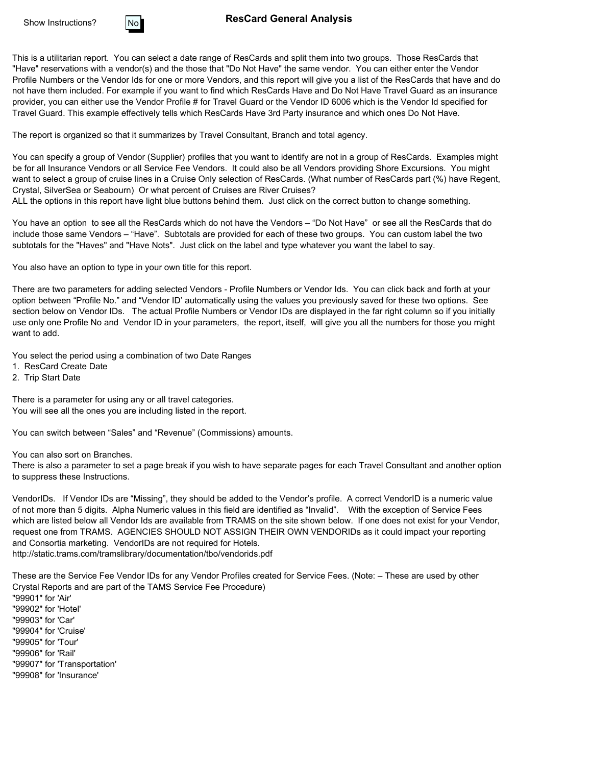

#### **ResCard General Analysis**

This is a utilitarian report. You can select a date range of ResCards and split them into two groups. Those ResCards that "Have" reservations with a vendor(s) and the those that "Do Not Have" the same vendor. You can either enter the Vendor Profile Numbers or the Vendor Ids for one or more Vendors, and this report will give you a list of the ResCards that have and do not have them included. For example if you want to find which ResCards Have and Do Not Have Travel Guard as an insurance provider, you can either use the Vendor Profile # for Travel Guard or the Vendor ID 6006 which is the Vendor Id specified for Travel Guard. This example effectively tells which ResCards Have 3rd Party insurance and which ones Do Not Have.

The report is organized so that it summarizes by Travel Consultant, Branch and total agency.

You can specify a group of Vendor (Supplier) profiles that you want to identify are not in a group of ResCards. Examples might be for all Insurance Vendors or all Service Fee Vendors. It could also be all Vendors providing Shore Excursions. You might want to select a group of cruise lines in a Cruise Only selection of ResCards. (What number of ResCards part (%) have Regent, Crystal, SilverSea or Seabourn) Or what percent of Cruises are River Cruises?

ALL the options in this report have light blue buttons behind them. Just click on the correct button to change something.

You have an option to see all the ResCards which do not have the Vendors – "Do Not Have" or see all the ResCards that do include those same Vendors – "Have". Subtotals are provided for each of these two groups. You can custom label the two subtotals for the "Haves" and "Have Nots". Just click on the label and type whatever you want the label to say.

You also have an option to type in your own title for this report.

There are two parameters for adding selected Vendors - Profile Numbers or Vendor Ids. You can click back and forth at your option between "Profile No." and "Vendor ID' automatically using the values you previously saved for these two options. See section below on Vendor IDs. The actual Profile Numbers or Vendor IDs are displayed in the far right column so if you initially use only one Profile No and Vendor ID in your parameters, the report, itself, will give you all the numbers for those you might want to add.

You select the period using a combination of two Date Ranges

- 1. ResCard Create Date
- 2. Trip Start Date

There is a parameter for using any or all travel categories. You will see all the ones you are including listed in the report.

You can switch between "Sales" and "Revenue" (Commissions) amounts.

You can also sort on Branches.

There is also a parameter to set a page break if you wish to have separate pages for each Travel Consultant and another option to suppress these Instructions.

VendorIDs. If Vendor IDs are "Missing", they should be added to the Vendor's profile. A correct VendorID is a numeric value of not more than 5 digits. Alpha Numeric values in this field are identified as "Invalid". With the exception of Service Fees which are listed below all Vendor Ids are available from TRAMS on the site shown below. If one does not exist for your Vendor, request one from TRAMS. AGENCIES SHOULD NOT ASSIGN THEIR OWN VENDORIDs as it could impact your reporting and Consortia marketing. VendorIDs are not required for Hotels. http://static.trams.com/tramslibrary/documentation/tbo/vendorids.pdf

These are the Service Fee Vendor IDs for any Vendor Profiles created for Service Fees. (Note: – These are used by other Crystal Reports and are part of the TAMS Service Fee Procedure)

"99901" for 'Air' "99902" for 'Hotel' "99903" for 'Car' "99904" for 'Cruise' "99905" for 'Tour' "99906" for 'Rail' "99907" for 'Transportation' "99908" for 'Insurance'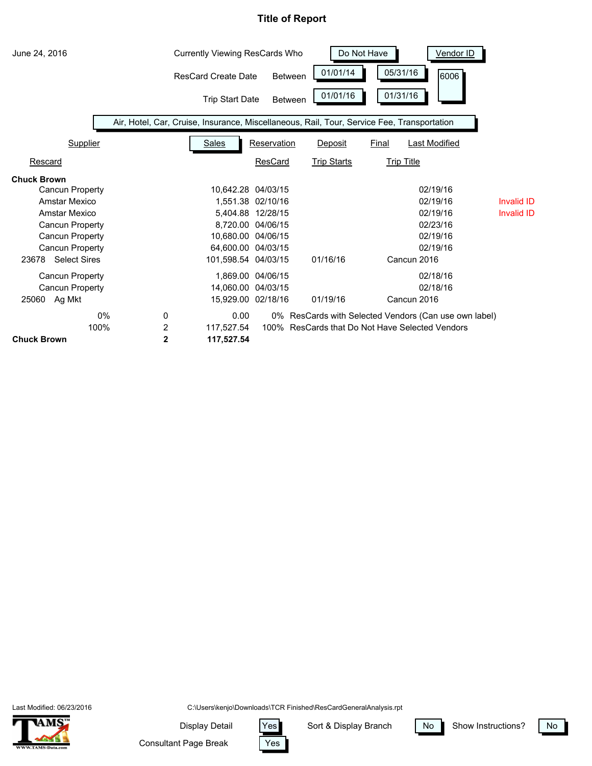

Last Modified: 06/23/2016



C:\Users\kenjo\Downloads\TCR Finished\ResCardGeneralAnalysis.rpt

Yes

Display Detail | Yes

Sort & Display Branch | No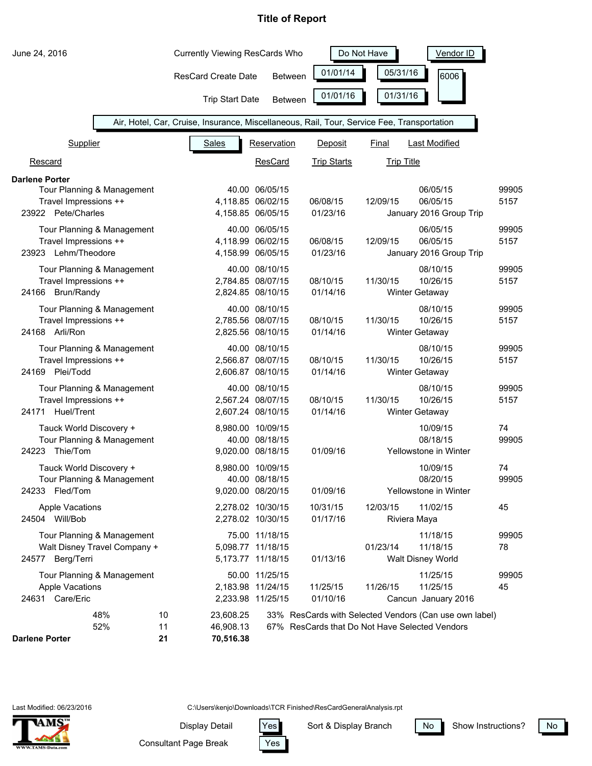| June 24, 2016                                                                                      |                | <b>Currently Viewing ResCards Who</b>  |                |                                                                                            | Do Not Have                | Vendor ID                                              |               |
|----------------------------------------------------------------------------------------------------|----------------|----------------------------------------|----------------|--------------------------------------------------------------------------------------------|----------------------------|--------------------------------------------------------|---------------|
|                                                                                                    |                | <b>ResCard Create Date</b>             | <b>Between</b> | 01/01/14                                                                                   | 05/31/16                   | 6006                                                   |               |
|                                                                                                    |                | <b>Trip Start Date</b>                 | <b>Between</b> | 01/01/16                                                                                   | 01/31/16                   |                                                        |               |
|                                                                                                    |                |                                        |                | Air, Hotel, Car, Cruise, Insurance, Miscellaneous, Rail, Tour, Service Fee, Transportation |                            |                                                        |               |
| <b>Supplier</b>                                                                                    |                | <b>Sales</b>                           | Reservation    | Deposit                                                                                    | Final                      | <b>Last Modified</b>                                   |               |
| Rescard                                                                                            |                |                                        | <b>ResCard</b> | <b>Trip Starts</b>                                                                         | <b>Trip Title</b>          |                                                        |               |
| <b>Darlene Porter</b><br>Tour Planning & Management<br>Travel Impressions ++<br>23922 Pete/Charles |                | 4,118.85 06/02/15<br>4,158.85 06/05/15 | 40.00 06/05/15 | 06/08/15<br>01/23/16                                                                       | 12/09/15                   | 06/05/15<br>06/05/15<br>January 2016 Group Trip        | 99905<br>5157 |
| Tour Planning & Management<br>Travel Impressions ++<br>23923 Lehm/Theodore                         |                | 4,118.99 06/02/15<br>4,158.99 06/05/15 | 40.00 06/05/15 | 06/08/15<br>01/23/16                                                                       | 12/09/15                   | 06/05/15<br>06/05/15<br>January 2016 Group Trip        | 99905<br>5157 |
| Tour Planning & Management<br>Travel Impressions ++<br>24166 Brun/Randy                            |                | 2,784.85 08/07/15<br>2,824.85 08/10/15 | 40.00 08/10/15 | 08/10/15<br>01/14/16                                                                       | 11/30/15                   | 08/10/15<br>10/26/15<br><b>Winter Getaway</b>          | 99905<br>5157 |
| Tour Planning & Management<br>Travel Impressions ++<br>24168 Arli/Ron                              |                | 2,785.56 08/07/15<br>2,825.56 08/10/15 | 40.00 08/10/15 | 08/10/15<br>01/14/16                                                                       | 11/30/15<br>Winter Getaway | 08/10/15<br>10/26/15                                   | 99905<br>5157 |
| Tour Planning & Management<br>Travel Impressions ++<br>24169 Plei/Todd                             |                | 2,566.87 08/07/15<br>2,606.87 08/10/15 | 40.00 08/10/15 | 08/10/15<br>01/14/16                                                                       | 11/30/15                   | 08/10/15<br>10/26/15<br><b>Winter Getaway</b>          | 99905<br>5157 |
| Tour Planning & Management<br>Travel Impressions ++<br>Huel/Trent<br>24171                         |                | 2,567.24 08/07/15<br>2,607.24 08/10/15 | 40.00 08/10/15 | 08/10/15<br>01/14/16                                                                       | 11/30/15                   | 08/10/15<br>10/26/15<br><b>Winter Getaway</b>          | 99905<br>5157 |
| Tauck World Discovery +<br>Tour Planning & Management<br>Thie/Tom<br>24223                         |                | 8,980.00 10/09/15<br>9,020.00 08/18/15 | 40.00 08/18/15 | 01/09/16                                                                                   |                            | 10/09/15<br>08/18/15<br>Yellowstone in Winter          | 74<br>99905   |
| Tauck World Discovery +<br>Tour Planning & Management<br>24233 Fled/Tom                            |                | 8,980.00 10/09/15<br>9,020.00 08/20/15 | 40.00 08/18/15 | 01/09/16                                                                                   |                            | 10/09/15<br>08/20/15<br>Yellowstone in Winter          | 74<br>99905   |
| <b>Apple Vacations</b><br>24504 Will/Bob                                                           |                | 2,278.02 10/30/15<br>2,278.02 10/30/15 |                | 10/31/15<br>01/17/16                                                                       | 12/03/15<br>Riviera Maya   | 11/02/15                                               | 45            |
| Tour Planning & Management<br>Walt Disney Travel Company +<br>24577 Berg/Terri                     |                | 5,098.77 11/18/15<br>5,173.77 11/18/15 | 75.00 11/18/15 | 01/13/16                                                                                   | 01/23/14                   | 11/18/15<br>11/18/15<br>Walt Disney World              | 99905<br>78   |
| Tour Planning & Management<br><b>Apple Vacations</b><br>Care/Eric<br>24631                         |                | 2,183.98 11/24/15<br>2,233.98 11/25/15 | 50.00 11/25/15 | 11/25/15<br>01/10/16                                                                       | 11/26/15                   | 11/25/15<br>11/25/15<br>Cancun January 2016            | 99905<br>45   |
| 48%<br>52%<br><b>Darlene Porter</b>                                                                | 10<br>11<br>21 | 23,608.25<br>46,908.13<br>70,516.38    |                | 67% ResCards that Do Not Have Selected Vendors                                             |                            | 33% ResCards with Selected Vendors (Can use own label) |               |

C:\Users\kenjo\Downloads\TCR Finished\ResCardGeneralAnalysis.rpt

Display Detail Yes



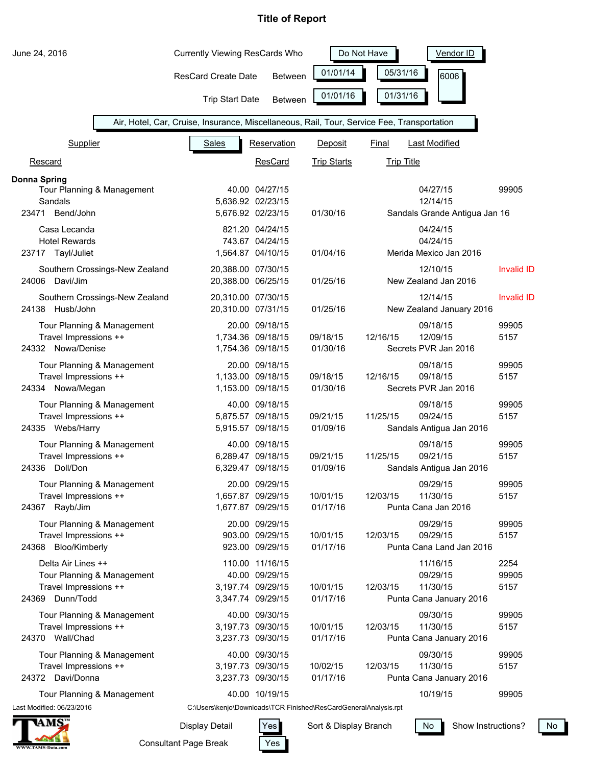| June 24, 2016                              | <b>Currently Viewing ResCards Who</b>                                                      |                                     | Do Not Have<br>Vendor ID |                   |                               |                   |
|--------------------------------------------|--------------------------------------------------------------------------------------------|-------------------------------------|--------------------------|-------------------|-------------------------------|-------------------|
|                                            | <b>ResCard Create Date</b>                                                                 | <b>Between</b>                      | 01/01/14                 | 05/31/16          | 6006                          |                   |
|                                            | <b>Trip Start Date</b>                                                                     | <b>Between</b>                      | 01/01/16                 | 01/31/16          |                               |                   |
|                                            | Air, Hotel, Car, Cruise, Insurance, Miscellaneous, Rail, Tour, Service Fee, Transportation |                                     |                          |                   |                               |                   |
| Supplier                                   | <b>Sales</b>                                                                               | Reservation                         | Deposit                  | Final             | <b>Last Modified</b>          |                   |
| Rescard                                    |                                                                                            | <b>ResCard</b>                      | <b>Trip Starts</b>       | <b>Trip Title</b> |                               |                   |
| <b>Donna Spring</b>                        |                                                                                            |                                     |                          |                   |                               |                   |
| Tour Planning & Management                 |                                                                                            | 40.00 04/27/15                      |                          |                   | 04/27/15                      | 99905             |
| Sandals                                    |                                                                                            | 5,636.92 02/23/15                   |                          |                   | 12/14/15                      |                   |
| 23471 Bend/John                            |                                                                                            | 5,676.92 02/23/15                   | 01/30/16                 |                   | Sandals Grande Antigua Jan 16 |                   |
| Casa Lecanda                               |                                                                                            | 821.20 04/24/15                     |                          |                   | 04/24/15                      |                   |
| <b>Hotel Rewards</b>                       |                                                                                            | 743.67 04/24/15                     |                          |                   | 04/24/15                      |                   |
| 23717 Tayl/Juliet                          |                                                                                            | 1,564.87 04/10/15                   | 01/04/16                 |                   | Merida Mexico Jan 2016        |                   |
| Southern Crossings-New Zealand             | 20,388.00 07/30/15                                                                         |                                     |                          |                   | 12/10/15                      | <b>Invalid ID</b> |
| Davi/Jim<br>24006                          | 20,388.00 06/25/15                                                                         |                                     | 01/25/16                 |                   | New Zealand Jan 2016          |                   |
| Southern Crossings-New Zealand             | 20,310.00 07/30/15                                                                         |                                     |                          |                   | 12/14/15                      | <b>Invalid ID</b> |
| 24138 Husb/John                            | 20,310.00 07/31/15                                                                         |                                     | 01/25/16                 |                   | New Zealand January 2016      |                   |
|                                            |                                                                                            |                                     |                          |                   |                               |                   |
| Tour Planning & Management                 |                                                                                            | 20.00 09/18/15                      |                          |                   | 09/18/15                      | 99905             |
| Travel Impressions ++                      |                                                                                            | 1,734.36 09/18/15                   | 09/18/15                 | 12/16/15          | 12/09/15                      | 5157              |
| 24332 Nowa/Denise                          |                                                                                            | 1,754.36 09/18/15                   | 01/30/16                 |                   | Secrets PVR Jan 2016          |                   |
| Tour Planning & Management                 |                                                                                            | 20.00 09/18/15                      |                          |                   | 09/18/15                      | 99905             |
| Travel Impressions ++                      |                                                                                            | 1,133.00 09/18/15                   | 09/18/15                 | 12/16/15          | 09/18/15                      | 5157              |
| 24334 Nowa/Megan                           |                                                                                            | 1,153.00 09/18/15                   | 01/30/16                 |                   | Secrets PVR Jan 2016          |                   |
| Tour Planning & Management                 |                                                                                            | 40.00 09/18/15                      |                          |                   | 09/18/15                      | 99905             |
| Travel Impressions ++                      |                                                                                            | 5,875.57 09/18/15                   | 09/21/15                 | 11/25/15          | 09/24/15                      | 5157              |
| 24335 Webs/Harry                           |                                                                                            | 5,915.57 09/18/15                   | 01/09/16                 |                   | Sandals Antigua Jan 2016      |                   |
| Tour Planning & Management                 |                                                                                            | 40.00 09/18/15                      |                          |                   | 09/18/15                      | 99905             |
| Travel Impressions ++                      |                                                                                            | 6,289.47 09/18/15                   | 09/21/15                 | 11/25/15          | 09/21/15                      | 5157              |
| Doll/Don<br>24336                          |                                                                                            | 6,329.47 09/18/15                   | 01/09/16                 |                   | Sandals Antigua Jan 2016      |                   |
|                                            |                                                                                            |                                     |                          |                   | 09/29/15                      |                   |
| Tour Planning & Management                 |                                                                                            | 20.00 09/29/15<br>1,657.87 09/29/15 | 10/01/15                 | 12/03/15          | 11/30/15                      | 99905<br>5157     |
| Travel Impressions ++<br>Rayb/Jim<br>24367 |                                                                                            | 1,677.87 09/29/15                   | 01/17/16                 |                   | Punta Cana Jan 2016           |                   |
|                                            |                                                                                            |                                     |                          |                   |                               |                   |
| Tour Planning & Management                 |                                                                                            | 20.00 09/29/15                      |                          |                   | 09/29/15                      | 99905             |
| Travel Impressions ++                      |                                                                                            | 903.00 09/29/15                     | 10/01/15                 | 12/03/15          | 09/29/15                      | 5157              |
| Bloo/Kimberly<br>24368                     |                                                                                            | 923.00 09/29/15                     | 01/17/16                 |                   | Punta Cana Land Jan 2016      |                   |
| Delta Air Lines ++                         |                                                                                            | 110.00 11/16/15                     |                          |                   | 11/16/15                      | 2254              |
| Tour Planning & Management                 |                                                                                            | 40.00 09/29/15                      |                          |                   | 09/29/15                      | 99905             |
| Travel Impressions ++                      |                                                                                            | 3,197.74 09/29/15                   | 10/01/15                 | 12/03/15          | 11/30/15                      | 5157              |
| 24369 Dunn/Todd                            |                                                                                            | 3,347.74 09/29/15                   | 01/17/16                 |                   | Punta Cana January 2016       |                   |
| Tour Planning & Management                 |                                                                                            | 40.00 09/30/15                      |                          |                   | 09/30/15                      | 99905             |
| Travel Impressions ++                      |                                                                                            | 3,197.73 09/30/15                   | 10/01/15                 | 12/03/15          | 11/30/15                      | 5157              |
| 24370 Wall/Chad                            |                                                                                            | 3,237.73 09/30/15                   | 01/17/16                 |                   | Punta Cana January 2016       |                   |
| Tour Planning & Management                 |                                                                                            | 40.00 09/30/15                      |                          |                   | 09/30/15                      | 99905             |
| Travel Impressions ++                      |                                                                                            | 3,197.73 09/30/15                   | 10/02/15                 | 12/03/15          | 11/30/15                      | 5157              |
| 24372 Davi/Donna                           |                                                                                            | 3,237.73 09/30/15                   | 01/17/16                 |                   | Punta Cana January 2016       |                   |
|                                            |                                                                                            |                                     |                          |                   |                               |                   |
| Tour Planning & Management                 |                                                                                            | 40.00 10/19/15                      |                          |                   | 10/19/15                      | 99905             |
| Last Modified: 06/23/2016                  | C:\Users\kenjo\Downloads\TCR Finished\ResCardGeneralAnalysis.rpt                           |                                     |                          |                   |                               |                   |



Consultant Page Break

Yes Display Detail Yes

Sort & Display Branch  $\sqrt{N_0}$ 

Show Instructions? No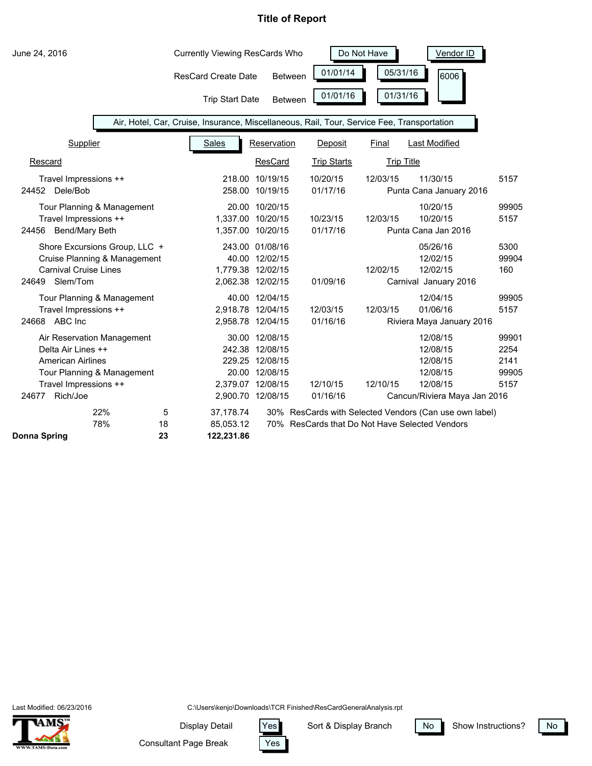| June 24, 2016                                                                                                                                            |               | <b>Currently Viewing ResCards Who</b>                                                      |                                                                                                                  |                      | Do Not Have | Vendor ID                                                                                                |                                        |
|----------------------------------------------------------------------------------------------------------------------------------------------------------|---------------|--------------------------------------------------------------------------------------------|------------------------------------------------------------------------------------------------------------------|----------------------|-------------|----------------------------------------------------------------------------------------------------------|----------------------------------------|
|                                                                                                                                                          |               | <b>ResCard Create Date</b>                                                                 | <b>Between</b>                                                                                                   | 01/01/14             | 05/31/16    | 6006                                                                                                     |                                        |
|                                                                                                                                                          |               | <b>Trip Start Date</b>                                                                     | <b>Between</b>                                                                                                   | 01/01/16             | 01/31/16    |                                                                                                          |                                        |
|                                                                                                                                                          |               | Air, Hotel, Car, Cruise, Insurance, Miscellaneous, Rail, Tour, Service Fee, Transportation |                                                                                                                  |                      |             |                                                                                                          |                                        |
| <b>Supplier</b>                                                                                                                                          |               | Sales                                                                                      | Reservation                                                                                                      | Deposit              | Final       | Last Modified                                                                                            |                                        |
| Rescard                                                                                                                                                  |               |                                                                                            | ResCard                                                                                                          | <b>Trip Starts</b>   |             | <b>Trip Title</b>                                                                                        |                                        |
| Travel Impressions ++<br>24452 Dele/Bob                                                                                                                  |               |                                                                                            | 218.00 10/19/15<br>258.00 10/19/15                                                                               | 10/20/15<br>01/17/16 | 12/03/15    | 11/30/15<br>Punta Cana January 2016                                                                      | 5157                                   |
| Tour Planning & Management<br>Travel Impressions ++<br>Bend/Mary Beth<br>24456                                                                           |               |                                                                                            | 20.00 10/20/15<br>1,337.00 10/20/15<br>1,357.00 10/20/15                                                         | 10/23/15<br>01/17/16 | 12/03/15    | 10/20/15<br>10/20/15<br>Punta Cana Jan 2016                                                              | 99905<br>5157                          |
| Shore Excursions Group, LLC +<br>Cruise Planning & Management<br><b>Carnival Cruise Lines</b><br>Slem/Tom<br>24649                                       |               |                                                                                            | 243.00 01/08/16<br>40.00 12/02/15<br>1,779.38 12/02/15<br>2,062.38 12/02/15                                      | 01/09/16             | 12/02/15    | 05/26/16<br>12/02/15<br>12/02/15<br>Carnival January 2016                                                | 5300<br>99904<br>160                   |
| Tour Planning & Management<br>Travel Impressions ++<br>24668 ABC Inc                                                                                     |               | 2,958.78 12/04/15                                                                          | 40.00 12/04/15<br>2,918.78 12/04/15                                                                              | 12/03/15<br>01/16/16 | 12/03/15    | 12/04/15<br>01/06/16<br>Riviera Maya January 2016                                                        | 99905<br>5157                          |
| Air Reservation Management<br>Delta Air Lines ++<br><b>American Airlines</b><br>Tour Planning & Management<br>Travel Impressions ++<br>Rich/Joe<br>24677 |               |                                                                                            | 30.00 12/08/15<br>242.38 12/08/15<br>229.25 12/08/15<br>20.00 12/08/15<br>2,379.07 12/08/15<br>2,900.70 12/08/15 | 12/10/15<br>01/16/16 | 12/10/15    | 12/08/15<br>12/08/15<br>12/08/15<br>12/08/15<br>12/08/15<br>Cancun/Riviera Maya Jan 2016                 | 99901<br>2254<br>2141<br>99905<br>5157 |
| 22%<br>78%<br>Donna Spring                                                                                                                               | 5<br>18<br>23 | 37,178.74<br>85,053.12<br>122,231.86                                                       |                                                                                                                  |                      |             | 30% ResCards with Selected Vendors (Can use own label)<br>70% ResCards that Do Not Have Selected Vendors |                                        |

Last Modified: 06/23/2016



C:\Users\kenjo\Downloads\TCR Finished\ResCardGeneralAnalysis.rpt

Yes

Consultant Page Break Display Detail Yes

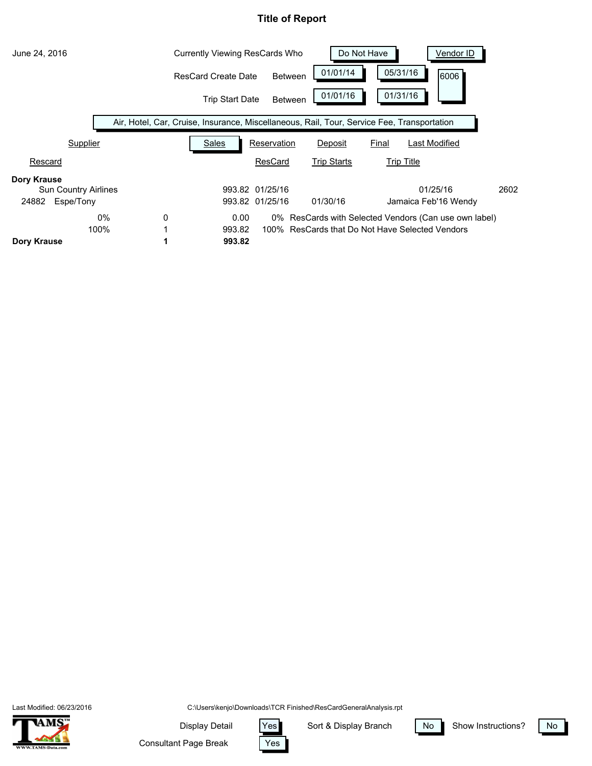| June 24, 2016               | Currently Viewing ResCards Who |                                                                                            |                 | Do Not Have<br>Vendor ID                        |                   |                                                       |      |
|-----------------------------|--------------------------------|--------------------------------------------------------------------------------------------|-----------------|-------------------------------------------------|-------------------|-------------------------------------------------------|------|
|                             |                                | <b>ResCard Create Date</b>                                                                 | <b>Between</b>  | 01/01/14                                        | 05/31/16          | 6006                                                  |      |
|                             |                                | <b>Trip Start Date</b>                                                                     | <b>Between</b>  | 01/01/16                                        | 01/31/16          |                                                       |      |
|                             |                                | Air, Hotel, Car, Cruise, Insurance, Miscellaneous, Rail, Tour, Service Fee, Transportation |                 |                                                 |                   |                                                       |      |
| Supplier                    |                                | Sales                                                                                      | Reservation     | Deposit                                         | Final             | Last Modified                                         |      |
| Rescard                     |                                |                                                                                            | <b>ResCard</b>  | <b>Trip Starts</b>                              | <b>Trip Title</b> |                                                       |      |
| Dory Krause                 |                                |                                                                                            |                 |                                                 |                   |                                                       |      |
| <b>Sun Country Airlines</b> |                                |                                                                                            | 993.82 01/25/16 |                                                 |                   | 01/25/16                                              | 2602 |
| Espe/Tony<br>24882          |                                |                                                                                            | 993.82 01/25/16 | 01/30/16                                        |                   | Jamaica Feb'16 Wendy                                  |      |
| $0\%$                       | 0                              | 0.00                                                                                       |                 |                                                 |                   | 0% ResCards with Selected Vendors (Can use own label) |      |
| 100%                        |                                | 993.82                                                                                     |                 | 100% ResCards that Do Not Have Selected Vendors |                   |                                                       |      |
| Dory Krause                 |                                | 993.82                                                                                     |                 |                                                 |                   |                                                       |      |

Last Modified: 06/23/2016



C:\Users\kenjo\Downloads\TCR Finished\ResCardGeneralAnalysis.rpt

Display Detail Yes

Sort & Display Branch | No



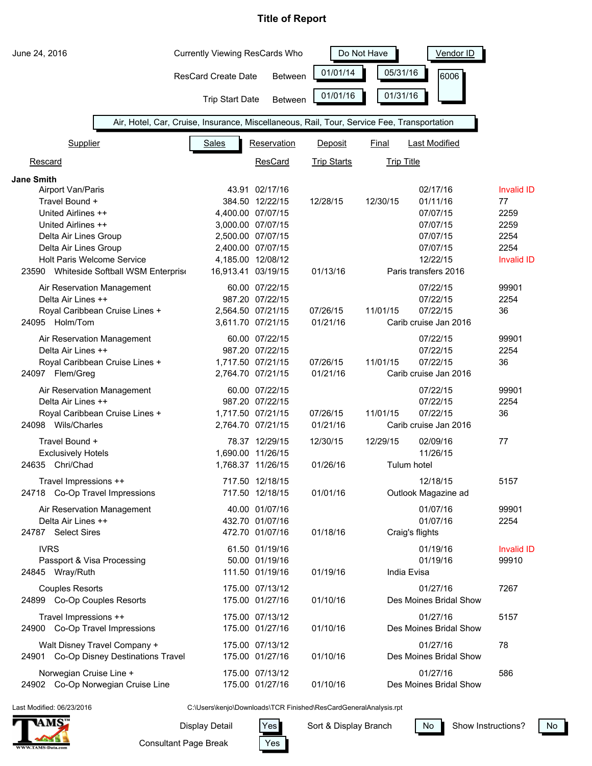| June 24, 2016                                | <b>Currently Viewing ResCards Who</b>                                                      |                   |                    | Do Not Have       | Vendor ID                        |                   |
|----------------------------------------------|--------------------------------------------------------------------------------------------|-------------------|--------------------|-------------------|----------------------------------|-------------------|
|                                              | <b>ResCard Create Date</b>                                                                 | <b>Between</b>    | 01/01/14           | 05/31/16          | l6006                            |                   |
|                                              | <b>Trip Start Date</b>                                                                     | <b>Between</b>    | 01/01/16           | 01/31/16          |                                  |                   |
|                                              | Air, Hotel, Car, Cruise, Insurance, Miscellaneous, Rail, Tour, Service Fee, Transportation |                   |                    |                   |                                  |                   |
| Supplier                                     | <b>Sales</b>                                                                               | Reservation       | Deposit            | <b>Final</b>      | <b>Last Modified</b>             |                   |
| Rescard                                      |                                                                                            | ResCard           | <b>Trip Starts</b> | <b>Trip Title</b> |                                  |                   |
| Jane Smith                                   |                                                                                            |                   |                    |                   |                                  |                   |
| Airport Van/Paris                            |                                                                                            | 43.91 02/17/16    |                    |                   | 02/17/16                         | <b>Invalid ID</b> |
| Travel Bound +                               |                                                                                            | 384.50 12/22/15   | 12/28/15           | 12/30/15          | 01/11/16                         | 77                |
| United Airlines ++                           |                                                                                            | 4,400.00 07/07/15 |                    |                   | 07/07/15                         | 2259              |
| United Airlines ++                           |                                                                                            | 3,000.00 07/07/15 |                    |                   | 07/07/15                         | 2259              |
| Delta Air Lines Group                        |                                                                                            | 2,500.00 07/07/15 |                    |                   | 07/07/15                         | 2254              |
| Delta Air Lines Group                        |                                                                                            | 2,400.00 07/07/15 |                    |                   | 07/07/15                         | 2254              |
| Holt Paris Welcome Service                   | 16,913.41 03/19/15                                                                         | 4,185.00 12/08/12 |                    |                   | 12/22/15<br>Paris transfers 2016 | <b>Invalid ID</b> |
| 23590 Whiteside Softball WSM Enterprise      |                                                                                            |                   | 01/13/16           |                   |                                  |                   |
| Air Reservation Management                   |                                                                                            | 60.00 07/22/15    |                    |                   | 07/22/15                         | 99901             |
| Delta Air Lines ++                           |                                                                                            | 987.20 07/22/15   |                    |                   | 07/22/15                         | 2254              |
| Royal Caribbean Cruise Lines +               |                                                                                            | 2,564.50 07/21/15 | 07/26/15           | 11/01/15          | 07/22/15                         | 36                |
| 24095 Holm/Tom                               |                                                                                            | 3,611.70 07/21/15 | 01/21/16           |                   | Carib cruise Jan 2016            |                   |
| Air Reservation Management                   |                                                                                            | 60.00 07/22/15    |                    |                   | 07/22/15                         | 99901             |
| Delta Air Lines ++                           |                                                                                            | 987.20 07/22/15   |                    |                   | 07/22/15                         | 2254              |
| Royal Caribbean Cruise Lines +               |                                                                                            | 1,717.50 07/21/15 | 07/26/15           | 11/01/15          | 07/22/15                         | 36                |
| 24097 Flem/Greg                              |                                                                                            | 2,764.70 07/21/15 | 01/21/16           |                   | Carib cruise Jan 2016            |                   |
| Air Reservation Management                   |                                                                                            | 60.00 07/22/15    |                    |                   | 07/22/15                         | 99901             |
| Delta Air Lines ++                           |                                                                                            | 987.20 07/22/15   |                    |                   | 07/22/15                         | 2254              |
| Royal Caribbean Cruise Lines +               |                                                                                            | 1,717.50 07/21/15 | 07/26/15           | 11/01/15          | 07/22/15                         | 36                |
| 24098 Wils/Charles                           |                                                                                            | 2,764.70 07/21/15 | 01/21/16           |                   | Carib cruise Jan 2016            |                   |
|                                              |                                                                                            |                   |                    |                   |                                  |                   |
| Travel Bound +                               |                                                                                            | 78.37 12/29/15    | 12/30/15           | 12/29/15          | 02/09/16                         | 77                |
| <b>Exclusively Hotels</b><br>24635 Chri/Chad |                                                                                            | 1,690.00 11/26/15 |                    |                   | 11/26/15                         |                   |
|                                              |                                                                                            | 1,768.37 11/26/15 | 01/26/16           |                   | Tulum hotel                      |                   |
| Travel Impressions ++                        |                                                                                            | 717.50 12/18/15   |                    |                   | 12/18/15                         | 5157              |
| 24718 Co-Op Travel Impressions               |                                                                                            | 717.50 12/18/15   | 01/01/16           |                   | Outlook Magazine ad              |                   |
| Air Reservation Management                   |                                                                                            | 40.00 01/07/16    |                    |                   | 01/07/16                         | 99901             |
| Delta Air Lines ++                           |                                                                                            | 432.70 01/07/16   |                    |                   | 01/07/16                         | 2254              |
| 24787 Select Sires                           |                                                                                            | 472.70 01/07/16   | 01/18/16           |                   | Craig's flights                  |                   |
| <b>IVRS</b>                                  |                                                                                            | 61.50 01/19/16    |                    |                   | 01/19/16                         | <b>Invalid ID</b> |
| Passport & Visa Processing                   |                                                                                            | 50.00 01/19/16    |                    |                   | 01/19/16                         | 99910             |
| 24845 Wray/Ruth                              |                                                                                            | 111.50 01/19/16   | 01/19/16           | India Evisa       |                                  |                   |
|                                              |                                                                                            |                   |                    |                   |                                  |                   |
| <b>Couples Resorts</b>                       |                                                                                            | 175.00 07/13/12   |                    |                   | 01/27/16                         | 7267              |
| 24899 Co-Op Couples Resorts                  |                                                                                            | 175.00 01/27/16   | 01/10/16           |                   | Des Moines Bridal Show           |                   |
| Travel Impressions ++                        |                                                                                            | 175.00 07/13/12   |                    |                   | 01/27/16                         | 5157              |
| 24900 Co-Op Travel Impressions               |                                                                                            | 175.00 01/27/16   | 01/10/16           |                   | Des Moines Bridal Show           |                   |
| Walt Disney Travel Company +                 |                                                                                            | 175.00 07/13/12   |                    |                   | 01/27/16                         | 78                |
| Co-Op Disney Destinations Travel<br>24901    |                                                                                            | 175.00 01/27/16   | 01/10/16           |                   | Des Moines Bridal Show           |                   |
|                                              |                                                                                            |                   |                    |                   |                                  |                   |
| Norwegian Cruise Line +                      |                                                                                            | 175.00 07/13/12   |                    |                   | 01/27/16                         | 586               |
| 24902 Co-Op Norwegian Cruise Line            |                                                                                            | 175.00 01/27/16   | 01/10/16           |                   | Des Moines Bridal Show           |                   |

Last Modified: 06/23/2016

C:\Users\kenjo\Downloads\TCR Finished\ResCardGeneralAnalysis.rpt

Display Detail Yes

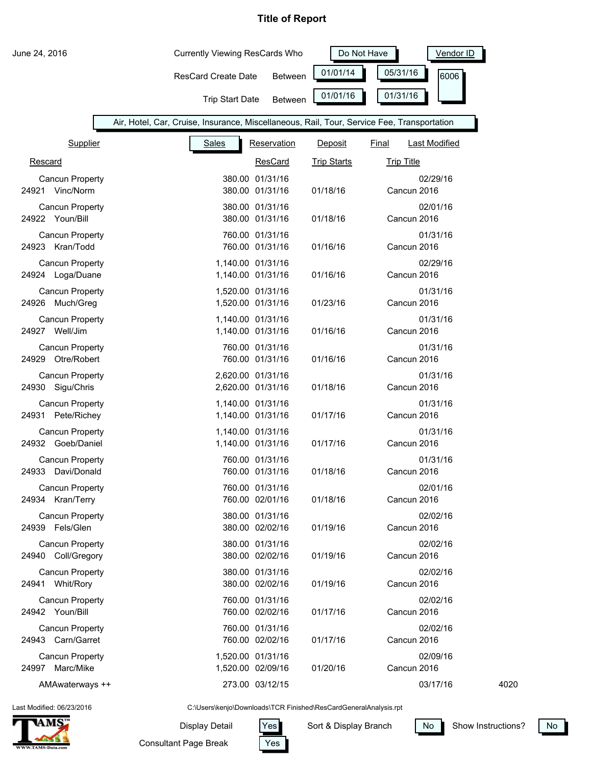| June 24, 2016                                  | <b>Currently Viewing ResCards Who</b>                                                      |                                    | Do Not Have<br>Vendor ID |                   |                      |
|------------------------------------------------|--------------------------------------------------------------------------------------------|------------------------------------|--------------------------|-------------------|----------------------|
|                                                | <b>ResCard Create Date</b>                                                                 | <b>Between</b>                     | 01/01/14                 | 05/31/16          | 6006                 |
|                                                | <b>Trip Start Date</b>                                                                     | Between                            | 01/01/16                 | 01/31/16          |                      |
|                                                | Air, Hotel, Car, Cruise, Insurance, Miscellaneous, Rail, Tour, Service Fee, Transportation |                                    |                          |                   |                      |
| Supplier                                       | <b>Sales</b>                                                                               | Reservation                        | Deposit                  | Final             | <b>Last Modified</b> |
| Rescard                                        |                                                                                            | <b>ResCard</b>                     | <b>Trip Starts</b>       | <b>Trip Title</b> |                      |
| <b>Cancun Property</b><br>24921 Vinc/Norm      |                                                                                            | 380.00 01/31/16<br>380.00 01/31/16 | 01/18/16                 | Cancun 2016       | 02/29/16             |
| <b>Cancun Property</b><br>24922 Youn/Bill      |                                                                                            | 380.00 01/31/16<br>380.00 01/31/16 | 01/18/16                 | Cancun 2016       | 02/01/16             |
| <b>Cancun Property</b><br>24923 Kran/Todd      |                                                                                            | 760.00 01/31/16<br>760.00 01/31/16 | 01/16/16                 | Cancun 2016       | 01/31/16             |
| <b>Cancun Property</b><br>24924 Loga/Duane     | 1,140.00 01/31/16<br>1,140.00 01/31/16                                                     |                                    | 01/16/16                 | Cancun 2016       | 02/29/16             |
| Cancun Property<br>24926 Much/Greg             | 1,520.00 01/31/16<br>1,520.00 01/31/16                                                     |                                    | 01/23/16                 | Cancun 2016       | 01/31/16             |
| Cancun Property<br>24927 Well/Jim              | 1,140.00 01/31/16<br>1,140.00 01/31/16                                                     |                                    | 01/16/16                 | Cancun 2016       | 01/31/16             |
| <b>Cancun Property</b><br>24929<br>Otre/Robert |                                                                                            | 760.00 01/31/16<br>760.00 01/31/16 | 01/16/16                 | Cancun 2016       | 01/31/16             |
| Cancun Property<br>24930 Sigu/Chris            | 2,620.00 01/31/16<br>2,620.00 01/31/16                                                     |                                    | 01/18/16                 | Cancun 2016       | 01/31/16             |
| Cancun Property<br>Pete/Richey<br>24931        | 1,140.00 01/31/16<br>1,140.00 01/31/16                                                     |                                    | 01/17/16                 | Cancun 2016       | 01/31/16             |
| Cancun Property<br>24932 Goeb/Daniel           | 1,140.00 01/31/16<br>1,140.00 01/31/16                                                     |                                    | 01/17/16                 | Cancun 2016       | 01/31/16             |
| Cancun Property<br>Davi/Donald<br>24933        |                                                                                            | 760.00 01/31/16<br>760.00 01/31/16 | 01/18/16                 | Cancun 2016       | 01/31/16             |
| Cancun Property<br>24934 Kran/Terry            |                                                                                            | 760.00 01/31/16<br>760.00 02/01/16 | 01/18/16                 | Cancun 2016       | 02/01/16             |
| Cancun Property<br>24939 Fels/Glen             |                                                                                            | 380.00 01/31/16<br>380.00 02/02/16 | 01/19/16                 | Cancun 2016       | 02/02/16             |
| Cancun Property<br>24940 Coll/Gregory          |                                                                                            | 380.00 01/31/16<br>380.00 02/02/16 | 01/19/16                 | Cancun 2016       | 02/02/16             |
| Cancun Property<br>24941 Whit/Rory             |                                                                                            | 380.00 01/31/16<br>380.00 02/02/16 | 01/19/16                 | Cancun 2016       | 02/02/16             |
| Cancun Property<br>24942 Youn/Bill             |                                                                                            | 760.00 01/31/16<br>760.00 02/02/16 | 01/17/16                 | Cancun 2016       | 02/02/16             |
| Cancun Property<br>24943 Carn/Garret           |                                                                                            | 760.00 01/31/16<br>760.00 02/02/16 | 01/17/16                 | Cancun 2016       | 02/02/16             |
| Cancun Property<br>24997 Marc/Mike             | 1,520.00 01/31/16<br>1,520.00 02/09/16                                                     |                                    | 01/20/16                 | Cancun 2016       | 02/09/16             |
| AMAwaterways ++                                |                                                                                            | 273.00 03/12/15                    |                          |                   | 03/17/16<br>4020     |

Last Modified: 06/23/2016



C:\Users\kenjo\Downloads\TCR Finished\ResCardGeneralAnalysis.rpt

Yes

Display Detail Yes

Consultant Page Break

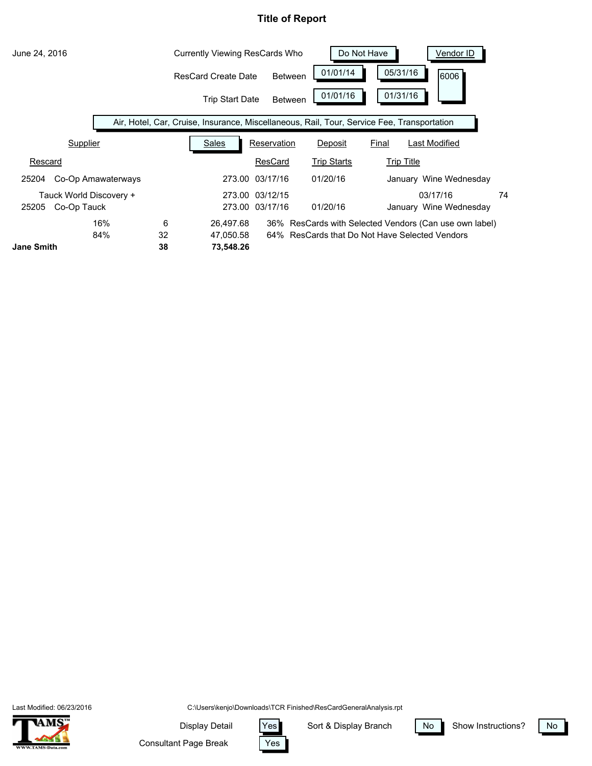

Last Modified: 06/23/2016



C:\Users\kenjo\Downloads\TCR Finished\ResCardGeneralAnalysis.rpt

Display Detail Yes

Sort & Display Branch | No



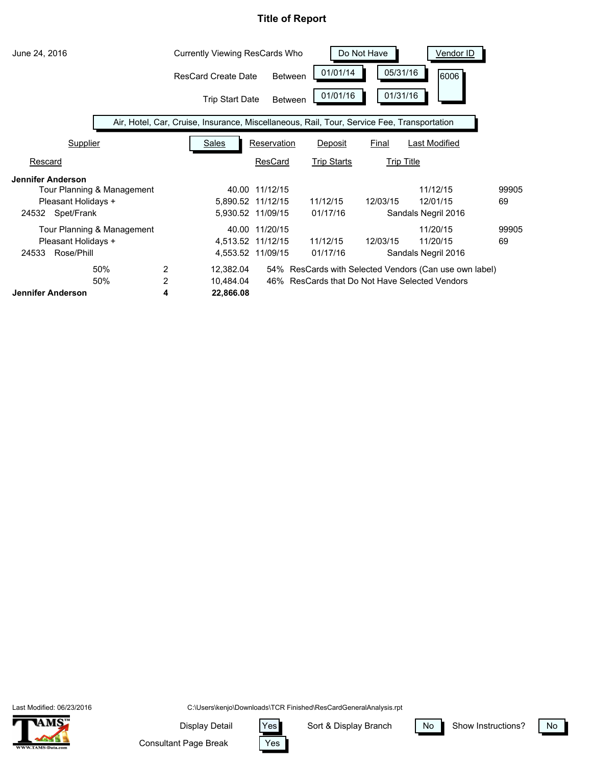| June 24, 2016                                                                                        | <b>Currently Viewing ResCards Who</b>                                                      |                                                          |                      | Do Not Have | Vendor ID                                                                                            |             |
|------------------------------------------------------------------------------------------------------|--------------------------------------------------------------------------------------------|----------------------------------------------------------|----------------------|-------------|------------------------------------------------------------------------------------------------------|-------------|
|                                                                                                      | <b>ResCard Create Date</b>                                                                 | <b>Between</b>                                           | 01/01/14             | 05/31/16    | 6006                                                                                                 |             |
|                                                                                                      | <b>Trip Start Date</b>                                                                     | <b>Between</b>                                           | 01/01/16             | 01/31/16    |                                                                                                      |             |
|                                                                                                      | Air, Hotel, Car, Cruise, Insurance, Miscellaneous, Rail, Tour, Service Fee, Transportation |                                                          |                      |             |                                                                                                      |             |
| Supplier                                                                                             | <b>Sales</b>                                                                               | Reservation                                              | Deposit              | Final       | <b>Last Modified</b>                                                                                 |             |
| Rescard                                                                                              |                                                                                            | ResCard                                                  | <b>Trip Starts</b>   |             | <b>Trip Title</b>                                                                                    |             |
| <b>Jennifer Anderson</b><br>Tour Planning & Management<br>Pleasant Holidays +<br>Spet/Frank<br>24532 |                                                                                            | 40.00 11/12/15<br>5,890.52 11/12/15<br>5,930.52 11/09/15 | 11/12/15<br>01/17/16 | 12/03/15    | 11/12/15<br>12/01/15<br>Sandals Negril 2016                                                          | 99905<br>69 |
| Tour Planning & Management<br>Pleasant Holidays +<br>Rose/Phill<br>24533                             |                                                                                            | 40.00 11/20/15<br>4,513.52 11/12/15<br>4,553.52 11/09/15 | 11/12/15<br>01/17/16 | 12/03/15    | 11/20/15<br>11/20/15<br>Sandals Negril 2016                                                          | 99905<br>69 |
| 50%<br>2<br>2<br>50%<br><b>Jennifer Anderson</b><br>4                                                | 12,382.04<br>10,484.04<br>22,866.08                                                        | 46%                                                      |                      |             | 54% ResCards with Selected Vendors (Can use own label)<br>ResCards that Do Not Have Selected Vendors |             |

Last Modified: 06/23/2016



C:\Users\kenjo\Downloads\TCR Finished\ResCardGeneralAnalysis.rpt

Yes

Display Detail Yes

Consultant Page Break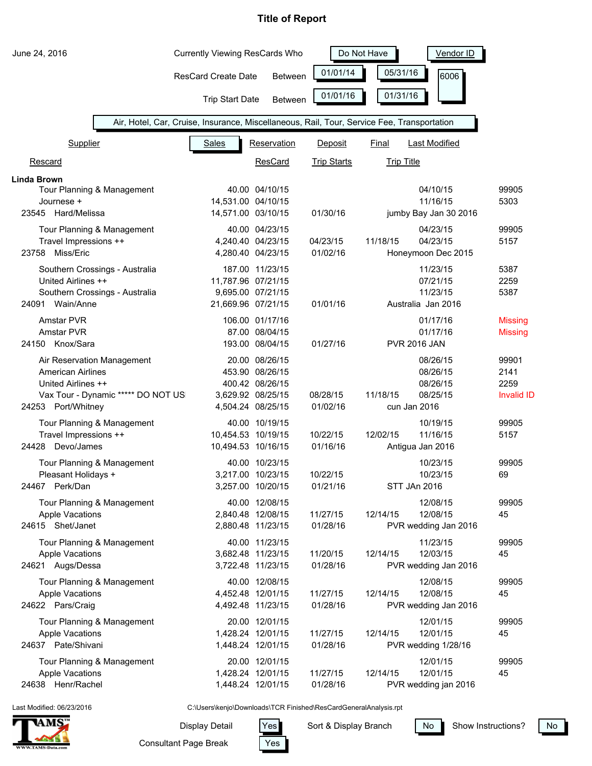| June 24, 2016                                            | <b>Currently Viewing ResCards Who</b>                                                      |                                        | Do Not Have          | <b>Vendor ID</b>                 |                           |
|----------------------------------------------------------|--------------------------------------------------------------------------------------------|----------------------------------------|----------------------|----------------------------------|---------------------------|
|                                                          | <b>ResCard Create Date</b>                                                                 | <b>Between</b>                         | 01/01/14             | 05/31/16                         | 6006                      |
|                                                          | <b>Trip Start Date</b>                                                                     | Between                                | 01/01/16             | 01/31/16                         |                           |
|                                                          | Air, Hotel, Car, Cruise, Insurance, Miscellaneous, Rail, Tour, Service Fee, Transportation |                                        |                      |                                  |                           |
| Supplier                                                 | <b>Sales</b>                                                                               | Reservation                            | Deposit              | <b>Last Modified</b><br>Final    |                           |
| Rescard                                                  |                                                                                            | ResCard                                | <b>Trip Starts</b>   | <b>Trip Title</b>                |                           |
| Linda Brown                                              |                                                                                            |                                        |                      |                                  |                           |
| Tour Planning & Management                               |                                                                                            | 40.00 04/10/15                         |                      | 04/10/15                         | 99905                     |
| Journese +<br>23545 Hard/Melissa                         | 14,531.00 04/10/15                                                                         |                                        |                      | 11/16/15                         | 5303                      |
|                                                          | 14,571.00 03/10/15                                                                         |                                        | 01/30/16             | jumby Bay Jan 30 2016            |                           |
| Tour Planning & Management                               |                                                                                            | 40.00 04/23/15                         |                      | 04/23/15                         | 99905                     |
| Travel Impressions ++<br>23758 Miss/Eric                 |                                                                                            | 4,240.40 04/23/15<br>4,280.40 04/23/15 | 04/23/15<br>01/02/16 | 11/18/15<br>04/23/15             | 5157                      |
|                                                          |                                                                                            |                                        |                      | Honeymoon Dec 2015               |                           |
| Southern Crossings - Australia                           |                                                                                            | 187.00 11/23/15                        |                      | 11/23/15                         | 5387                      |
| United Airlines ++                                       | 11,787.96 07/21/15                                                                         |                                        |                      | 07/21/15<br>11/23/15             | 2259                      |
| Southern Crossings - Australia<br>Wain/Anne<br>24091     | 21,669.96 07/21/15                                                                         | 9,695.00 07/21/15                      | 01/01/16             | Australia Jan 2016               | 5387                      |
|                                                          |                                                                                            |                                        |                      |                                  |                           |
| Amstar PVR                                               |                                                                                            | 106.00 01/17/16                        |                      | 01/17/16                         | <b>Missing</b>            |
| Amstar PVR<br>24150 Knox/Sara                            |                                                                                            | 87.00 08/04/15<br>193.00 08/04/15      | 01/27/16             | 01/17/16<br><b>PVR 2016 JAN</b>  | <b>Missing</b>            |
|                                                          |                                                                                            |                                        |                      |                                  |                           |
| Air Reservation Management                               |                                                                                            | 20.00 08/26/15                         |                      | 08/26/15                         | 99901                     |
| <b>American Airlines</b>                                 |                                                                                            | 453.90 08/26/15                        |                      | 08/26/15                         | 2141                      |
| United Airlines ++<br>Vax Tour - Dynamic ***** DO NOT US |                                                                                            | 400.42 08/26/15<br>3,629.92 08/25/15   | 08/28/15             | 08/26/15<br>11/18/15<br>08/25/15 | 2259<br><b>Invalid ID</b> |
| 24253 Port/Whitney                                       |                                                                                            | 4,504.24 08/25/15                      | 01/02/16             | cun Jan 2016                     |                           |
|                                                          |                                                                                            |                                        |                      |                                  |                           |
| Tour Planning & Management<br>Travel Impressions ++      | 10,454.53 10/19/15                                                                         | 40.00 10/19/15                         | 10/22/15             | 10/19/15<br>12/02/15<br>11/16/15 | 99905<br>5157             |
| 24428 Devo/James                                         | 10,494.53 10/16/15                                                                         |                                        | 01/16/16             | Antigua Jan 2016                 |                           |
|                                                          |                                                                                            |                                        |                      |                                  |                           |
| Tour Planning & Management                               |                                                                                            | 40.00 10/23/15                         |                      | 10/23/15                         | 99905                     |
| Pleasant Holidays +<br>24467 Perk/Dan                    |                                                                                            | 3,217.00 10/23/15<br>3,257.00 10/20/15 | 10/22/15<br>01/21/16 | 10/23/15<br>STT JAn 2016         | 69                        |
|                                                          |                                                                                            |                                        |                      |                                  |                           |
| Tour Planning & Management                               |                                                                                            | 40.00 12/08/15                         |                      | 12/08/15                         | 99905                     |
| <b>Apple Vacations</b><br>24615 Shet/Janet               |                                                                                            | 2,840.48 12/08/15                      | 11/27/15             | 12/14/15<br>12/08/15             | 45                        |
|                                                          |                                                                                            | 2,880.48 11/23/15                      | 01/28/16             | PVR wedding Jan 2016             |                           |
| Tour Planning & Management                               |                                                                                            | 40.00 11/23/15                         |                      | 11/23/15                         | 99905                     |
| <b>Apple Vacations</b>                                   |                                                                                            | 3,682.48 11/23/15                      | 11/20/15             | 12/14/15<br>12/03/15             | 45                        |
| 24621 Augs/Dessa                                         |                                                                                            | 3,722.48 11/23/15                      | 01/28/16             | PVR wedding Jan 2016             |                           |
| Tour Planning & Management                               |                                                                                            | 40.00 12/08/15                         |                      | 12/08/15                         | 99905                     |
| <b>Apple Vacations</b>                                   |                                                                                            | 4,452.48 12/01/15                      | 11/27/15             | 12/14/15<br>12/08/15             | 45                        |
| 24622 Pars/Craig                                         |                                                                                            | 4,492.48 11/23/15                      | 01/28/16             | PVR wedding Jan 2016             |                           |
| Tour Planning & Management                               |                                                                                            | 20.00 12/01/15                         |                      | 12/01/15                         | 99905                     |
| <b>Apple Vacations</b>                                   |                                                                                            | 1,428.24 12/01/15                      | 11/27/15             | 12/14/15<br>12/01/15             | 45                        |
| 24637 Pate/Shivani                                       |                                                                                            | 1,448.24 12/01/15                      | 01/28/16             | PVR wedding 1/28/16              |                           |
| Tour Planning & Management                               |                                                                                            | 20.00 12/01/15                         |                      | 12/01/15                         | 99905                     |
| <b>Apple Vacations</b>                                   |                                                                                            | 1,428.24 12/01/15                      | 11/27/15             | 12/14/15<br>12/01/15             | 45                        |
| 24638 Henr/Rachel                                        |                                                                                            | 1,448.24 12/01/15                      | 01/28/16             | PVR wedding jan 2016             |                           |

Last Modified: 06/23/2016



C:\Users\kenjo\Downloads\TCR Finished\ResCardGeneralAnalysis.rpt

Display Detail Yes

Yes

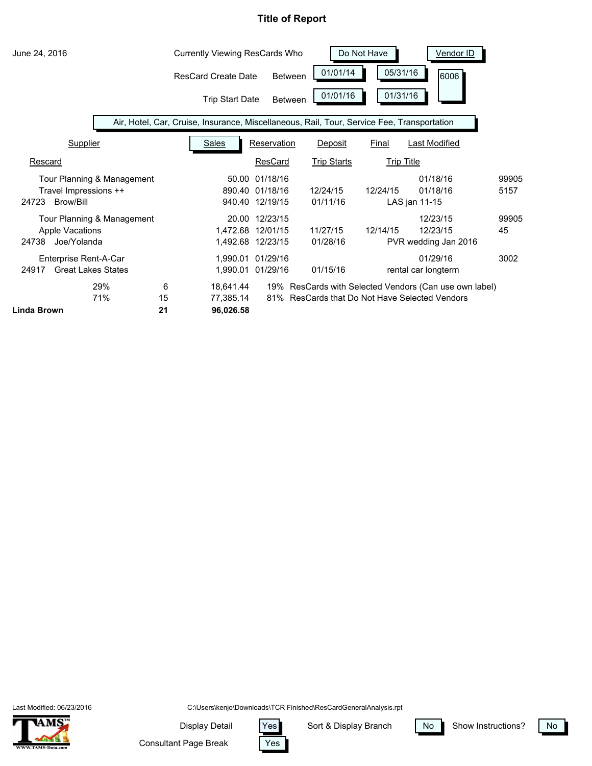| June 24, 2016                                               |                            |               | <b>Currently Viewing ResCards Who</b> |                                                |                                                                                            | Do Not Have  | <b>Vendor ID</b>                                                                                 |               |
|-------------------------------------------------------------|----------------------------|---------------|---------------------------------------|------------------------------------------------|--------------------------------------------------------------------------------------------|--------------|--------------------------------------------------------------------------------------------------|---------------|
|                                                             |                            |               | <b>ResCard Create Date</b>            | <b>Between</b>                                 | 01/01/14                                                                                   |              | 05/31/16<br>6006                                                                                 |               |
|                                                             |                            |               | <b>Trip Start Date</b>                | <b>Between</b>                                 | 01/01/16                                                                                   |              | 01/31/16                                                                                         |               |
|                                                             |                            |               |                                       |                                                | Air, Hotel, Car, Cruise, Insurance, Miscellaneous, Rail, Tour, Service Fee, Transportation |              |                                                                                                  |               |
| Supplier                                                    |                            |               | <b>Sales</b>                          | Reservation                                    | Deposit                                                                                    | <b>Final</b> | Last Modified                                                                                    |               |
| Rescard                                                     |                            |               |                                       | ResCard                                        | <b>Trip Starts</b>                                                                         |              | <b>Trip Title</b>                                                                                |               |
| Travel Impressions ++<br>Brow/Bill<br>24723                 | Tour Planning & Management |               | 50.00                                 | 01/18/16<br>890.40 01/18/16<br>940.40 12/19/15 | 12/24/15<br>01/11/16                                                                       | 12/24/15     | 01/18/16<br>01/18/16<br>LAS jan 11-15                                                            | 99905<br>5157 |
| <b>Apple Vacations</b><br>Joe/Yolanda<br>24738              | Tour Planning & Management |               | 20.00<br>1,472.68                     | 12/23/15<br>12/01/15<br>1,492.68 12/23/15      | 11/27/15<br>01/28/16                                                                       | 12/14/15     | 12/23/15<br>12/23/15<br>PVR wedding Jan 2016                                                     | 99905<br>45   |
| Enterprise Rent-A-Car<br><b>Great Lakes States</b><br>24917 |                            |               | 1,990.01<br>1,990.01                  | 01/29/16<br>01/29/16                           | 01/15/16                                                                                   |              | 01/29/16<br>rental car longterm                                                                  | 3002          |
| Linda Brown                                                 | 29%<br>71%                 | 6<br>15<br>21 | 18,641.44<br>77,385.14<br>96,026.58   | 19%<br>81%                                     |                                                                                            |              | ResCards with Selected Vendors (Can use own label)<br>ResCards that Do Not Have Selected Vendors |               |

Last Modified: 06/23/2016



C:\Users\kenjo\Downloads\TCR Finished\ResCardGeneralAnalysis.rpt

Yes

Display Detail Yes

Consultant Page Break

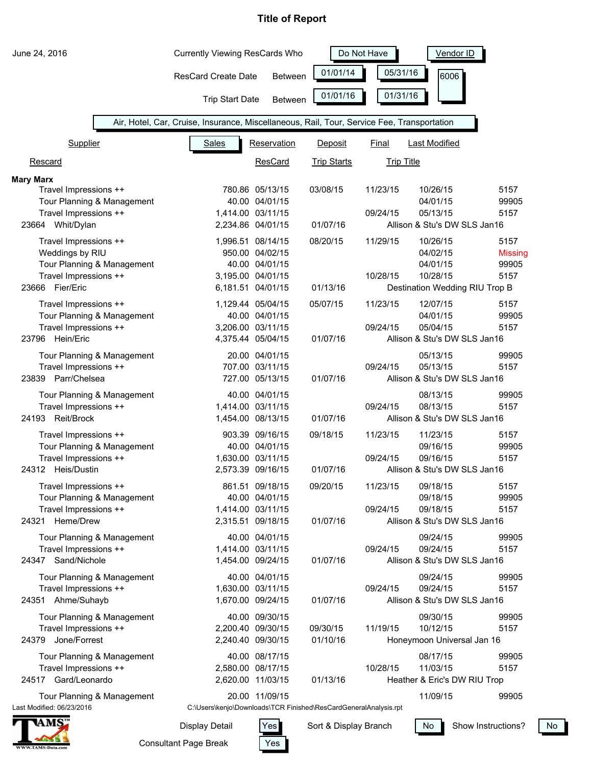| June 24, 2016                               |                            | <b>Currently Viewing ResCards Who</b>                                                      |                                        |                    | Vendor ID         |                                          |                |
|---------------------------------------------|----------------------------|--------------------------------------------------------------------------------------------|----------------------------------------|--------------------|-------------------|------------------------------------------|----------------|
|                                             |                            | <b>ResCard Create Date</b>                                                                 | <b>Between</b>                         | 01/01/14           | 05/31/16          | 6006                                     |                |
|                                             |                            | <b>Trip Start Date</b>                                                                     | <b>Between</b>                         | 01/01/16           | 01/31/16          |                                          |                |
|                                             |                            | Air, Hotel, Car, Cruise, Insurance, Miscellaneous, Rail, Tour, Service Fee, Transportation |                                        |                    |                   |                                          |                |
| Supplier                                    |                            | <b>Sales</b>                                                                               | Reservation                            | Deposit            | Final             | <b>Last Modified</b>                     |                |
| Rescard                                     |                            |                                                                                            | <b>ResCard</b>                         | <b>Trip Starts</b> | <b>Trip Title</b> |                                          |                |
| <b>Mary Marx</b>                            |                            |                                                                                            |                                        |                    |                   |                                          |                |
| Travel Impressions ++                       |                            |                                                                                            | 780.86 05/13/15                        | 03/08/15           | 11/23/15          | 10/26/15                                 | 5157           |
|                                             | Tour Planning & Management |                                                                                            | 40.00 04/01/15                         |                    |                   | 04/01/15                                 | 99905          |
| Travel Impressions ++                       |                            |                                                                                            | 1,414.00 03/11/15                      |                    | 09/24/15          | 05/13/15                                 | 5157           |
| 23664 Whit/Dylan                            |                            |                                                                                            | 2,234.86 04/01/15                      | 01/07/16           |                   | Allison & Stu's DW SLS Jan16             |                |
| Travel Impressions ++                       |                            |                                                                                            | 1,996.51 08/14/15                      | 08/20/15           | 11/29/15          | 10/26/15                                 | 5157           |
| Weddings by RIU                             |                            |                                                                                            | 950.00 04/02/15                        |                    |                   | 04/02/15                                 | <b>Missing</b> |
| Travel Impressions ++                       | Tour Planning & Management |                                                                                            | 40.00 04/01/15<br>3,195.00 04/01/15    |                    | 10/28/15          | 04/01/15<br>10/28/15                     | 99905<br>5157  |
| 23666 Fier/Eric                             |                            |                                                                                            | 6,181.51 04/01/15                      | 01/13/16           |                   | Destination Wedding RIU Trop B           |                |
| Travel Impressions ++                       |                            |                                                                                            | 1,129.44 05/04/15                      | 05/07/15           | 11/23/15          | 12/07/15                                 | 5157           |
|                                             | Tour Planning & Management |                                                                                            | 40.00 04/01/15                         |                    |                   | 04/01/15                                 | 99905          |
| Travel Impressions ++                       |                            |                                                                                            | 3,206.00 03/11/15                      |                    | 09/24/15          | 05/04/15                                 | 5157           |
| 23796 Hein/Eric                             |                            |                                                                                            | 4,375.44 05/04/15                      | 01/07/16           |                   | Allison & Stu's DW SLS Jan16             |                |
|                                             | Tour Planning & Management |                                                                                            | 20.00 04/01/15                         |                    |                   | 05/13/15                                 | 99905          |
| Travel Impressions ++                       |                            |                                                                                            | 707.00 03/11/15                        |                    | 09/24/15          | 05/13/15                                 | 5157           |
| 23839 Parr/Chelsea                          |                            |                                                                                            | 727.00 05/13/15                        | 01/07/16           |                   | Allison & Stu's DW SLS Jan16             |                |
|                                             | Tour Planning & Management |                                                                                            | 40.00 04/01/15                         |                    |                   | 08/13/15                                 | 99905          |
| Travel Impressions ++                       |                            |                                                                                            | 1,414.00 03/11/15                      |                    | 09/24/15          | 08/13/15                                 | 5157           |
| 24193 Reit/Brock                            |                            |                                                                                            | 1,454.00 08/13/15                      | 01/07/16           |                   | Allison & Stu's DW SLS Jan16             |                |
| Travel Impressions ++                       |                            |                                                                                            | 903.39 09/16/15                        | 09/18/15           | 11/23/15          | 11/23/15                                 | 5157           |
|                                             | Tour Planning & Management |                                                                                            | 40.00 04/01/15                         |                    |                   | 09/16/15                                 | 99905          |
| Travel Impressions ++                       |                            |                                                                                            | 1,630.00 03/11/15                      |                    | 09/24/15          | 09/16/15                                 | 5157           |
| 24312 Heis/Dustin                           |                            |                                                                                            | 2,573.39 09/16/15                      | 01/07/16           |                   | Allison & Stu's DW SLS Jan16             |                |
| Travel Impressions ++                       |                            |                                                                                            | 861.51 09/18/15                        | 09/20/15           | 11/23/15          | 09/18/15                                 | 5157           |
|                                             | Tour Planning & Management |                                                                                            | 40.00 04/01/15                         |                    |                   | 09/18/15                                 | 99905          |
| Travel Impressions ++<br>Heme/Drew<br>24321 |                            |                                                                                            | 1,414.00 03/11/15<br>2,315.51 09/18/15 | 01/07/16           | 09/24/15          | 09/18/15<br>Allison & Stu's DW SLS Jan16 | 5157           |
|                                             |                            |                                                                                            |                                        |                    |                   |                                          |                |
|                                             | Tour Planning & Management |                                                                                            | 40.00 04/01/15                         |                    |                   | 09/24/15                                 | 99905          |
| Travel Impressions ++<br>24347 Sand/Nichole |                            |                                                                                            | 1,414.00 03/11/15<br>1,454.00 09/24/15 | 01/07/16           | 09/24/15          | 09/24/15<br>Allison & Stu's DW SLS Jan16 | 5157           |
|                                             |                            |                                                                                            |                                        |                    |                   |                                          |                |
| Travel Impressions ++                       | Tour Planning & Management |                                                                                            | 40.00 04/01/15<br>1,630.00 03/11/15    |                    | 09/24/15          | 09/24/15<br>09/24/15                     | 99905<br>5157  |
| 24351 Ahme/Suhayb                           |                            |                                                                                            | 1,670.00 09/24/15                      | 01/07/16           |                   | Allison & Stu's DW SLS Jan16             |                |
|                                             |                            |                                                                                            | 40.00 09/30/15                         |                    |                   |                                          | 99905          |
| Travel Impressions ++                       | Tour Planning & Management |                                                                                            | 2,200.40 09/30/15                      | 09/30/15           | 11/19/15          | 09/30/15<br>10/12/15                     | 5157           |
| Jone/Forrest<br>24379                       |                            |                                                                                            | 2,240.40 09/30/15                      | 01/10/16           |                   | Honeymoon Universal Jan 16               |                |
|                                             | Tour Planning & Management |                                                                                            | 40.00 08/17/15                         |                    |                   | 08/17/15                                 | 99905          |
| Travel Impressions ++                       |                            |                                                                                            | 2,580.00 08/17/15                      |                    | 10/28/15          | 11/03/15                                 | 5157           |
| 24517 Gard/Leonardo                         |                            |                                                                                            | 2,620.00 11/03/15                      | 01/13/16           |                   | Heather & Eric's DW RIU Trop             |                |
|                                             | Tour Planning & Management |                                                                                            | 20.00 11/09/15                         |                    |                   | 11/09/15                                 | 99905          |
| Last Modified: 06/23/2016                   |                            | C:\Users\kenjo\Downloads\TCR Finished\ResCardGeneralAnalysis.rpt                           |                                        |                    |                   |                                          |                |



Consultant Page Break Display Detail | Yes

Yes

Sort & Display Branch  $\sqrt{N_0}$ 

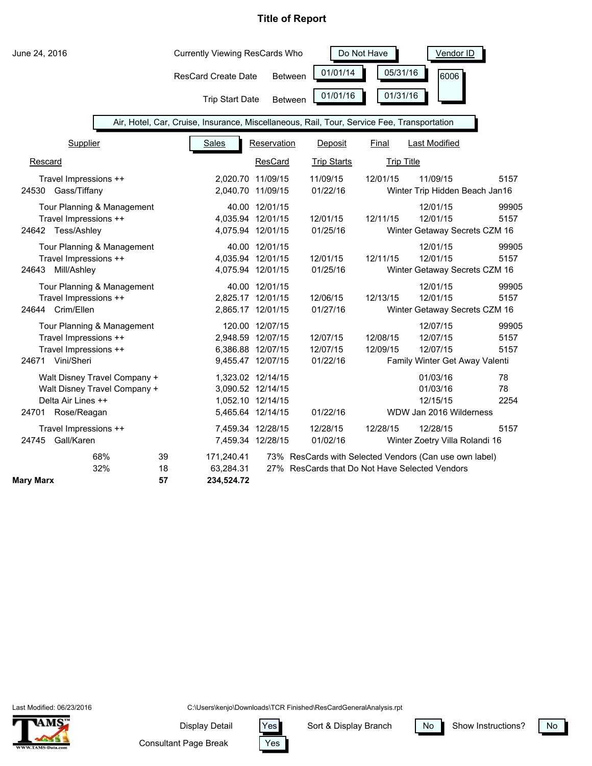| June 24, 2016                                                                                              |                                                                                            | <b>Currently Viewing ResCards Who</b>                                            |                                                | Do Not Have          | Vendor ID                                                          |                       |
|------------------------------------------------------------------------------------------------------------|--------------------------------------------------------------------------------------------|----------------------------------------------------------------------------------|------------------------------------------------|----------------------|--------------------------------------------------------------------|-----------------------|
|                                                                                                            | <b>ResCard Create Date</b>                                                                 | <b>Between</b>                                                                   | 01/01/14                                       | 05/31/16             | 6006                                                               |                       |
|                                                                                                            | <b>Trip Start Date</b>                                                                     | <b>Between</b>                                                                   | 01/01/16                                       | 01/31/16             |                                                                    |                       |
|                                                                                                            | Air, Hotel, Car, Cruise, Insurance, Miscellaneous, Rail, Tour, Service Fee, Transportation |                                                                                  |                                                |                      |                                                                    |                       |
| Supplier                                                                                                   | <b>Sales</b>                                                                               | Reservation                                                                      | Deposit                                        | Final                | <b>Last Modified</b>                                               |                       |
| Rescard                                                                                                    |                                                                                            | ResCard                                                                          | <b>Trip Starts</b>                             | <b>Trip Title</b>    |                                                                    |                       |
| Travel Impressions ++<br>24530 Gass/Tiffany                                                                |                                                                                            | 2,020.70 11/09/15<br>2,040.70 11/09/15                                           | 11/09/15<br>01/22/16                           | 12/01/15             | 11/09/15<br>Winter Trip Hidden Beach Jan16                         | 5157                  |
| Tour Planning & Management<br>Travel Impressions ++<br>24642 Tess/Ashley                                   |                                                                                            | 40.00 12/01/15<br>4,035.94 12/01/15<br>4,075.94 12/01/15                         | 12/01/15<br>01/25/16                           | 12/11/15             | 12/01/15<br>12/01/15<br>Winter Getaway Secrets CZM 16              | 99905<br>5157         |
| Tour Planning & Management<br>Travel Impressions ++<br>24643 Mill/Ashley                                   |                                                                                            | 40.00 12/01/15<br>4,035.94 12/01/15<br>4,075.94 12/01/15                         | 12/01/15<br>01/25/16                           | 12/11/15             | 12/01/15<br>12/01/15<br>Winter Getaway Secrets CZM 16              | 99905<br>5157         |
| Tour Planning & Management<br>Travel Impressions ++<br>24644 Crim/Ellen                                    |                                                                                            | 40.00 12/01/15<br>2,825.17 12/01/15<br>2,865.17 12/01/15                         | 12/06/15<br>01/27/16                           | 12/13/15             | 12/01/15<br>12/01/15<br>Winter Getaway Secrets CZM 16              | 99905<br>5157         |
| Tour Planning & Management<br>Travel Impressions ++<br>Travel Impressions ++<br>24671 Vini/Sheri           |                                                                                            | 120.00 12/07/15<br>2,948.59 12/07/15<br>6,386.88 12/07/15<br>9,455.47 12/07/15   | 12/07/15<br>12/07/15<br>01/22/16               | 12/08/15<br>12/09/15 | 12/07/15<br>12/07/15<br>12/07/15<br>Family Winter Get Away Valenti | 99905<br>5157<br>5157 |
| Walt Disney Travel Company +<br>Walt Disney Travel Company +<br>Delta Air Lines ++<br>Rose/Reagan<br>24701 |                                                                                            | 1,323.02 12/14/15<br>3,090.52 12/14/15<br>1,052.10 12/14/15<br>5,465.64 12/14/15 | 01/22/16                                       |                      | 01/03/16<br>01/03/16<br>12/15/15<br>WDW Jan 2016 Wilderness        | 78<br>78<br>2254      |
| Travel Impressions ++<br>Gall/Karen<br>24745                                                               |                                                                                            | 7,459.34 12/28/15<br>7,459.34 12/28/15                                           | 12/28/15<br>01/02/16                           | 12/28/15             | 12/28/15<br>Winter Zoetry Villa Rolandi 16                         | 5157                  |
| 68%<br>32%<br><b>Mary Marx</b>                                                                             | 39<br>171,240.41<br>18<br>63,284.31<br>57<br>234,524.72                                    |                                                                                  | 27% ResCards that Do Not Have Selected Vendors |                      | 73% ResCards with Selected Vendors (Can use own label)             |                       |

Last Modified: 06/23/2016



C:\Users\kenjo\Downloads\TCR Finished\ResCardGeneralAnalysis.rpt

Yes

Display Detail Yes

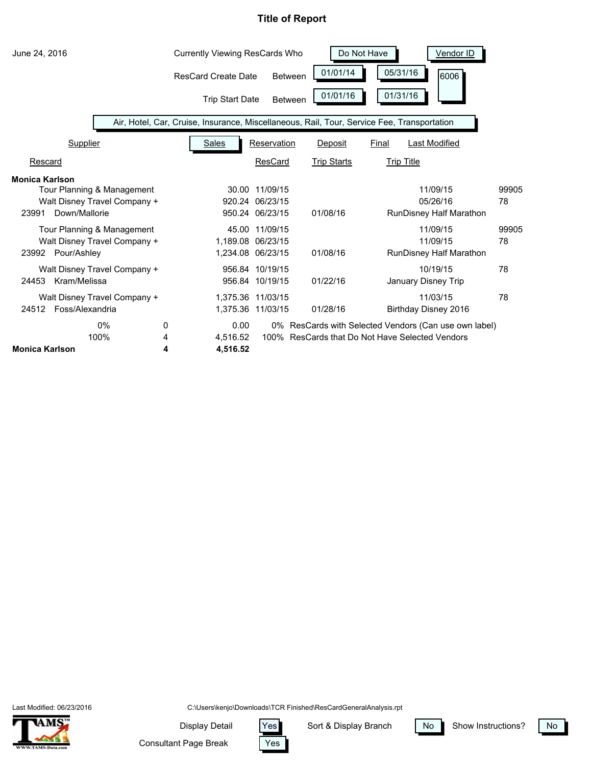

Last Modified: 06/23/2016



C:\Users\kenjo\Downloads\TCR Finished\ResCardGeneralAnalysis.rpt

Yes

Display Detail | Yes

Consultant Page Break

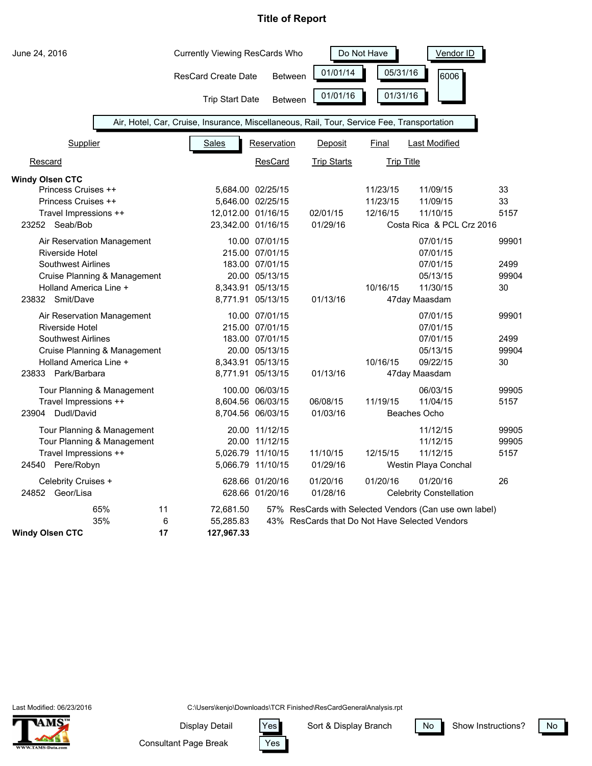| June 24, 2016                                                                                                                                                     | <b>Currently Viewing ResCards Who</b>                                                      |                                                                                                                  |                                                | Do Not Have                      | Vendor ID                                                                 |                              |
|-------------------------------------------------------------------------------------------------------------------------------------------------------------------|--------------------------------------------------------------------------------------------|------------------------------------------------------------------------------------------------------------------|------------------------------------------------|----------------------------------|---------------------------------------------------------------------------|------------------------------|
|                                                                                                                                                                   | <b>ResCard Create Date</b>                                                                 | Between                                                                                                          | 01/01/14                                       | 05/31/16                         | 6006                                                                      |                              |
|                                                                                                                                                                   | <b>Trip Start Date</b>                                                                     | Between                                                                                                          | 01/01/16                                       | 01/31/16                         |                                                                           |                              |
|                                                                                                                                                                   | Air, Hotel, Car, Cruise, Insurance, Miscellaneous, Rail, Tour, Service Fee, Transportation |                                                                                                                  |                                                |                                  |                                                                           |                              |
| Supplier                                                                                                                                                          | <b>Sales</b>                                                                               | Reservation                                                                                                      | Deposit                                        | Final                            | Last Modified                                                             |                              |
| Rescard                                                                                                                                                           |                                                                                            | ResCard                                                                                                          | <b>Trip Starts</b>                             | <b>Trip Title</b>                |                                                                           |                              |
| <b>Windy Olsen CTC</b><br>Princess Cruises ++<br>Princess Cruises ++<br>Travel Impressions ++<br>23252 Seab/Bob                                                   | 12,012.00 01/16/15<br>23,342.00 01/16/15                                                   | 5,684.00 02/25/15<br>5,646.00 02/25/15                                                                           | 02/01/15<br>01/29/16                           | 11/23/15<br>11/23/15<br>12/16/15 | 11/09/15<br>11/09/15<br>11/10/15<br>Costa Rica & PCL Crz 2016             | 33<br>33<br>5157             |
| Air Reservation Management<br><b>Riverside Hotel</b><br><b>Southwest Airlines</b><br>Cruise Planning & Management<br>Holland America Line +<br>23832 Smit/Dave    |                                                                                            | 10.00 07/01/15<br>215.00 07/01/15<br>183.00 07/01/15<br>20.00 05/13/15<br>8,343.91 05/13/15<br>8,771.91 05/13/15 | 01/13/16                                       | 10/16/15                         | 07/01/15<br>07/01/15<br>07/01/15<br>05/13/15<br>11/30/15<br>47day Maasdam | 99901<br>2499<br>99904<br>30 |
| Air Reservation Management<br><b>Riverside Hotel</b><br><b>Southwest Airlines</b><br>Cruise Planning & Management<br>Holland America Line +<br>23833 Park/Barbara |                                                                                            | 10.00 07/01/15<br>215.00 07/01/15<br>183.00 07/01/15<br>20.00 05/13/15<br>8,343.91 05/13/15<br>8,771.91 05/13/15 | 01/13/16                                       | 10/16/15                         | 07/01/15<br>07/01/15<br>07/01/15<br>05/13/15<br>09/22/15<br>47day Maasdam | 99901<br>2499<br>99904<br>30 |
| Tour Planning & Management<br>Travel Impressions ++<br>23904 Dudl/David                                                                                           |                                                                                            | 100.00 06/03/15<br>8,604.56 06/03/15<br>8,704.56 06/03/15                                                        | 06/08/15<br>01/03/16                           | 11/19/15                         | 06/03/15<br>11/04/15<br>Beaches Ocho                                      | 99905<br>5157                |
| Tour Planning & Management<br>Tour Planning & Management<br>Travel Impressions ++<br>24540 Pere/Robyn                                                             |                                                                                            | 20.00 11/12/15<br>20.00 11/12/15<br>5,026.79 11/10/15<br>5,066.79 11/10/15                                       | 11/10/15<br>01/29/16                           | 12/15/15                         | 11/12/15<br>11/12/15<br>11/12/15<br>Westin Playa Conchal                  | 99905<br>99905<br>5157       |
| Celebrity Cruises +<br>24852 Geor/Lisa                                                                                                                            |                                                                                            | 628.66 01/20/16<br>628.66 01/20/16                                                                               | 01/20/16<br>01/28/16                           | 01/20/16                         | 01/20/16<br><b>Celebrity Constellation</b>                                | 26                           |
| 65%<br>11<br>35%<br><b>Windy Olsen CTC</b><br>17                                                                                                                  | 72,681.50<br>6<br>55,285.83<br>127,967.33                                                  |                                                                                                                  | 43% ResCards that Do Not Have Selected Vendors |                                  | 57% ResCards with Selected Vendors (Can use own label)                    |                              |

Last Modified: 06/23/2016



C:\Users\kenjo\Downloads\TCR Finished\ResCardGeneralAnalysis.rpt

Display Detail Yes

Sort & Display Branch | No

Show Instructions? No

Consultant Page Break

Yes